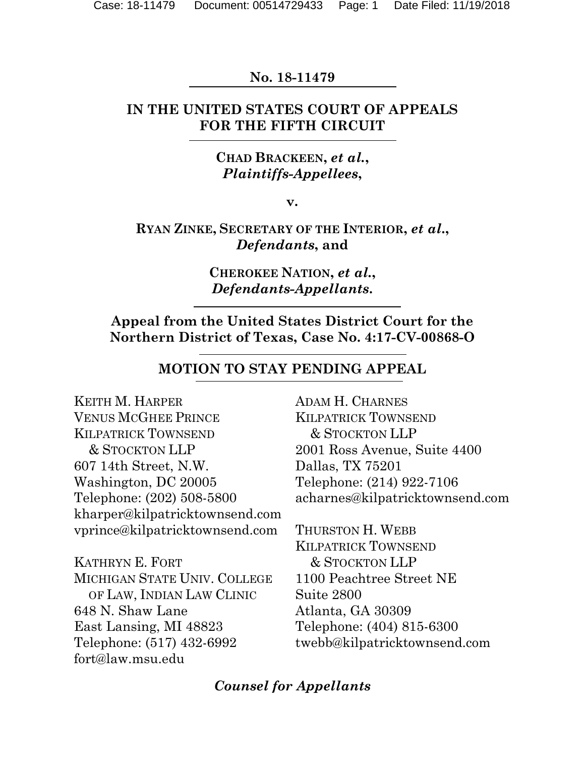## **No. 18-11479**

## **IN THE UNITED STATES COURT OF APPEALS FOR THE FIFTH CIRCUIT**

## **CHAD BRACKEEN,** *et al.***,** *Plaintiffs-Appellees***,**

**v.**

## **RYAN ZINKE, SECRETARY OF THE INTERIOR,** *et al***.,** *Defendants***, and**

**CHEROKEE NATION,** *et al.***,** *Defendants-Appellants***.**

**Appeal from the United States District Court for the Northern District of Texas, Case No. 4:17-CV-00868-O**

## **MOTION TO STAY PENDING APPEAL**

KEITH M. HARPER VENUS MCGHEE PRINCE KILPATRICK TOWNSEND & STOCKTON LLP 607 14th Street, N.W. Washington, DC 20005 Telephone: (202) 508-5800 kharper@kilpatricktownsend.com vprince@kilpatricktownsend.com

KATHRYN E. FORT MICHIGAN STATE UNIV. COLLEGE OF LAW, INDIAN LAW CLINIC 648 N. Shaw Lane East Lansing, MI 48823 Telephone: (517) 432-6992 fort@law.msu.edu

ADAM H. CHARNES KILPATRICK TOWNSEND & STOCKTON LLP 2001 Ross Avenue, Suite 4400 Dallas, TX 75201 Telephone: (214) 922-7106 acharnes@kilpatricktownsend.com

THURSTON H. WEBB KILPATRICK TOWNSEND & STOCKTON LLP 1100 Peachtree Street NE Suite 2800 Atlanta, GA 30309 Telephone: (404) 815-6300 twebb@kilpatricktownsend.com

### *Counsel for Appellants*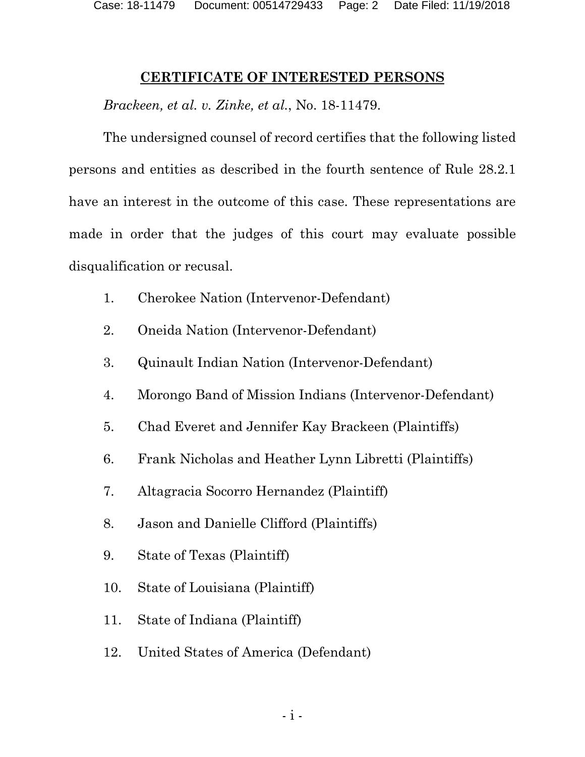### **CERTIFICATE OF INTERESTED PERSONS**

<span id="page-1-0"></span>*Brackeen, et al. v. Zinke, et al.*, No. 18-11479.

The undersigned counsel of record certifies that the following listed persons and entities as described in the fourth sentence of Rule 28.2.1 have an interest in the outcome of this case. These representations are made in order that the judges of this court may evaluate possible disqualification or recusal.

- 1. Cherokee Nation (Intervenor-Defendant)
- 2. Oneida Nation (Intervenor-Defendant)
- 3. Quinault Indian Nation (Intervenor-Defendant)
- 4. Morongo Band of Mission Indians (Intervenor-Defendant)
- 5. Chad Everet and Jennifer Kay Brackeen (Plaintiffs)
- 6. Frank Nicholas and Heather Lynn Libretti (Plaintiffs)
- 7. Altagracia Socorro Hernandez (Plaintiff)
- 8. Jason and Danielle Clifford (Plaintiffs)
- 9. State of Texas (Plaintiff)
- 10. State of Louisiana (Plaintiff)
- 11. State of Indiana (Plaintiff)
- 12. United States of America (Defendant)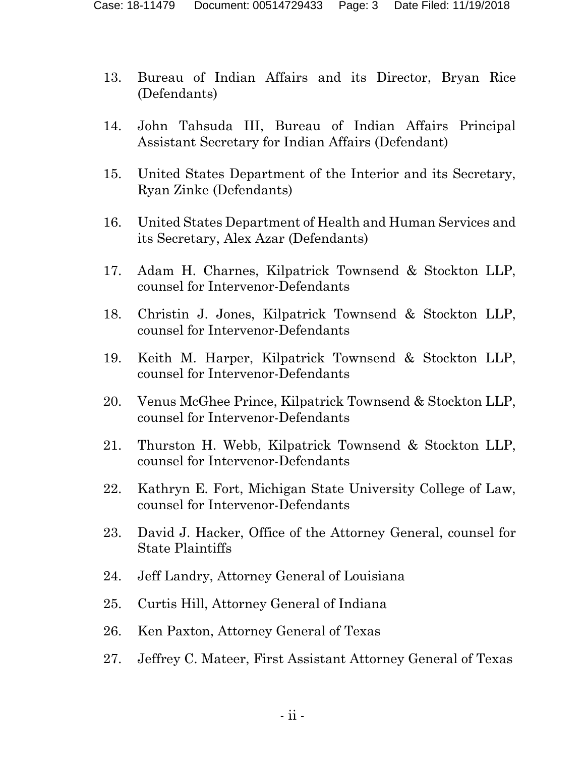- 13. Bureau of Indian Affairs and its Director, Bryan Rice (Defendants)
- 14. John Tahsuda III, Bureau of Indian Affairs Principal Assistant Secretary for Indian Affairs (Defendant)
- 15. United States Department of the Interior and its Secretary, Ryan Zinke (Defendants)
- 16. United States Department of Health and Human Services and its Secretary, Alex Azar (Defendants)
- 17. Adam H. Charnes, Kilpatrick Townsend & Stockton LLP, counsel for Intervenor-Defendants
- 18. Christin J. Jones, Kilpatrick Townsend & Stockton LLP, counsel for Intervenor-Defendants
- 19. Keith M. Harper, Kilpatrick Townsend & Stockton LLP, counsel for Intervenor-Defendants
- 20. Venus McGhee Prince, Kilpatrick Townsend & Stockton LLP, counsel for Intervenor-Defendants
- 21. Thurston H. Webb, Kilpatrick Townsend & Stockton LLP, counsel for Intervenor-Defendants
- 22. Kathryn E. Fort, Michigan State University College of Law, counsel for Intervenor-Defendants
- 23. David J. Hacker, Office of the Attorney General, counsel for State Plaintiffs
- 24. Jeff Landry, Attorney General of Louisiana
- 25. Curtis Hill, Attorney General of Indiana
- 26. Ken Paxton, Attorney General of Texas
- 27. Jeffrey C. Mateer, First Assistant Attorney General of Texas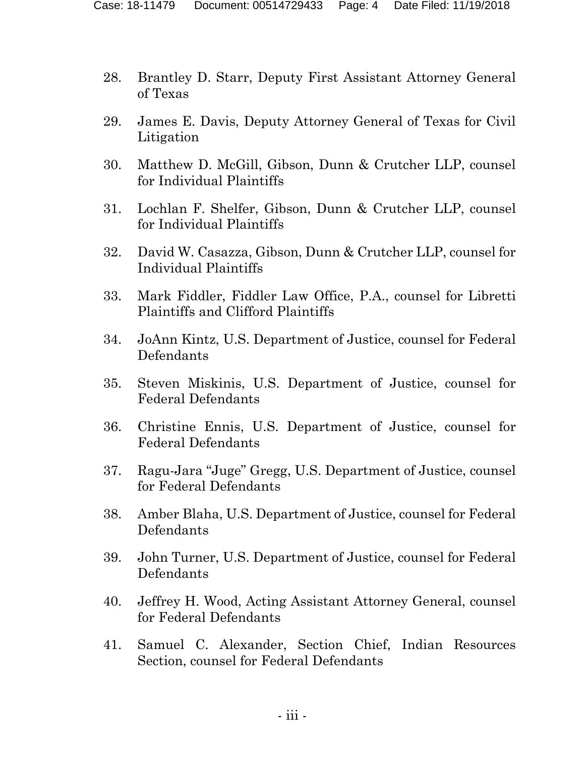- 28. Brantley D. Starr, Deputy First Assistant Attorney General of Texas
- 29. James E. Davis, Deputy Attorney General of Texas for Civil Litigation
- 30. Matthew D. McGill, Gibson, Dunn & Crutcher LLP, counsel for Individual Plaintiffs
- 31. Lochlan F. Shelfer, Gibson, Dunn & Crutcher LLP, counsel for Individual Plaintiffs
- 32. David W. Casazza, Gibson, Dunn & Crutcher LLP, counsel for Individual Plaintiffs
- 33. Mark Fiddler, Fiddler Law Office, P.A., counsel for Libretti Plaintiffs and Clifford Plaintiffs
- 34. JoAnn Kintz, U.S. Department of Justice, counsel for Federal Defendants
- 35. Steven Miskinis, U.S. Department of Justice, counsel for Federal Defendants
- 36. Christine Ennis, U.S. Department of Justice, counsel for Federal Defendants
- 37. Ragu-Jara "Juge" Gregg, U.S. Department of Justice, counsel for Federal Defendants
- 38. Amber Blaha, U.S. Department of Justice, counsel for Federal Defendants
- 39. John Turner, U.S. Department of Justice, counsel for Federal Defendants
- 40. Jeffrey H. Wood, Acting Assistant Attorney General, counsel for Federal Defendants
- 41. Samuel C. Alexander, Section Chief, Indian Resources Section, counsel for Federal Defendants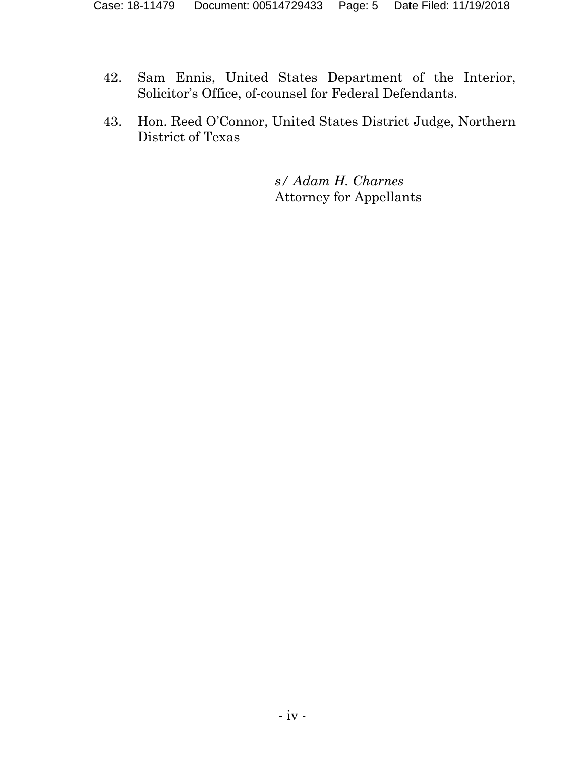- 42. Sam Ennis, United States Department of the Interior, Solicitor's Office, of-counsel for Federal Defendants.
- 43. Hon. Reed O'Connor, United States District Judge, Northern District of Texas

*s/ Adam H. Charnes* Attorney for Appellants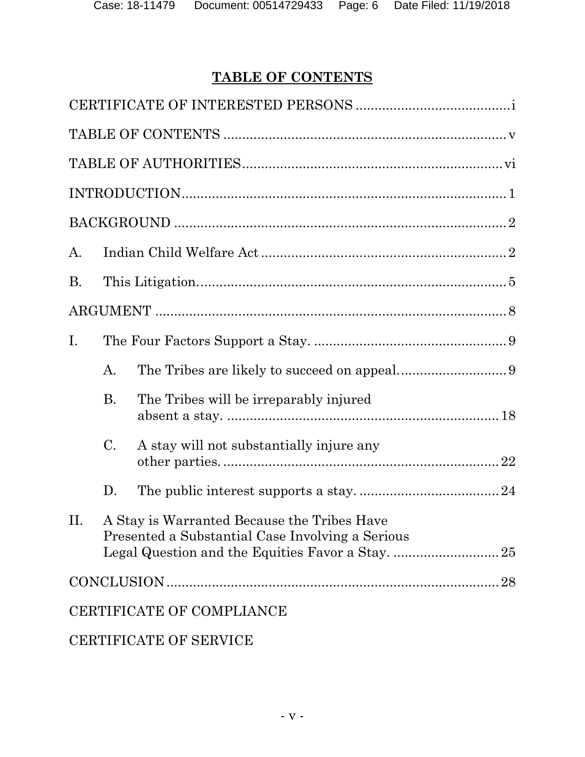# **TABLE OF CONTENTS**

<span id="page-5-0"></span>

| A.        |           |                                                                                                 |  |
|-----------|-----------|-------------------------------------------------------------------------------------------------|--|
| <b>B.</b> |           |                                                                                                 |  |
|           |           |                                                                                                 |  |
| Ι.        |           |                                                                                                 |  |
|           | A.        |                                                                                                 |  |
|           | <b>B.</b> | The Tribes will be irreparably injured                                                          |  |
|           | C.        | A stay will not substantially injure any                                                        |  |
|           | D.        |                                                                                                 |  |
| II.       |           | A Stay is Warranted Because the Tribes Have<br>Presented a Substantial Case Involving a Serious |  |
|           |           |                                                                                                 |  |
|           |           | CERTIFICATE OF COMPLIANCE                                                                       |  |
|           |           | CERTIFICATE OF SERVICE                                                                          |  |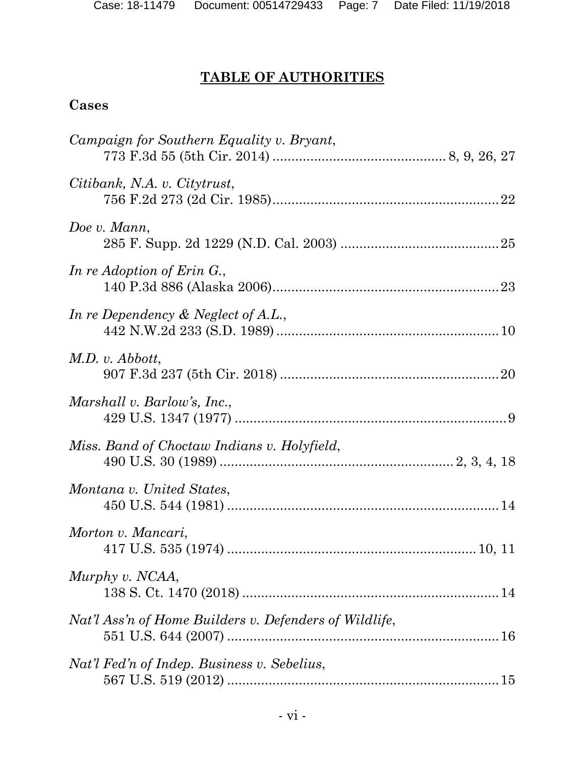# <span id="page-6-0"></span>**TABLE OF AUTHORITIES**

# **Cases**

| Campaign for Southern Equality v. Bryant,              |  |
|--------------------------------------------------------|--|
| Citibank, N.A. v. Citytrust,                           |  |
| Doe v. Mann,                                           |  |
| In re Adoption of Erin G.,                             |  |
| In re Dependency $\&$ Neglect of A.L.,                 |  |
| $M.D.$ v. $Abbott$ ,                                   |  |
| Marshall v. Barlow's, Inc.,                            |  |
| Miss. Band of Choctaw Indians v. Holyfield,            |  |
| Montana v. United States,                              |  |
| Morton v. Mancari,                                     |  |
| Murphy v. NCAA,                                        |  |
| Nat'l Ass'n of Home Builders v. Defenders of Wildlife, |  |
| Nat'l Fed'n of Indep. Business v. Sebelius,            |  |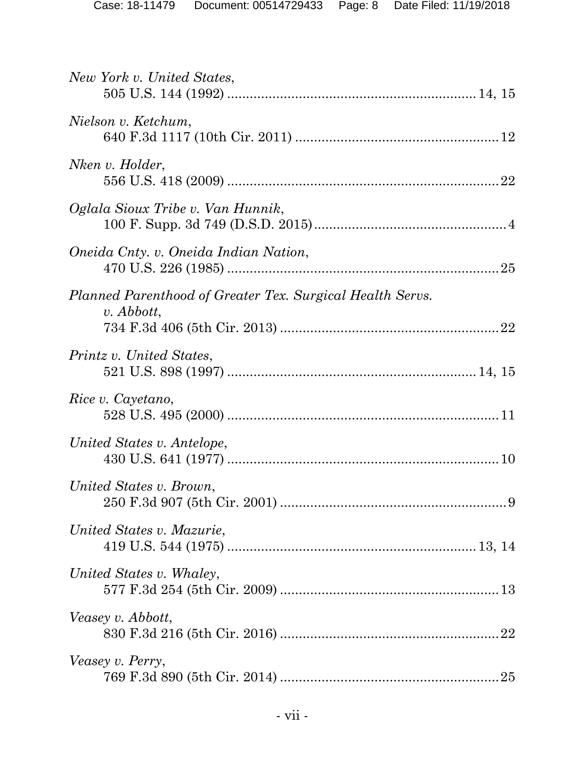| New York v. United States,                                                |
|---------------------------------------------------------------------------|
| Nielson v. Ketchum,                                                       |
| Nken v. Holder,                                                           |
| Oglala Sioux Tribe v. Van Hunnik,                                         |
| Oneida Cnty. v. Oneida Indian Nation,                                     |
| Planned Parenthood of Greater Tex. Surgical Health Servs.<br>$v.$ Abbott, |
| Printz v. United States,                                                  |
| Rice v. Cayetano,                                                         |
| United States v. Antelope,                                                |
| United States v. Brown,                                                   |
| United States v. Mazurie,                                                 |
| United States v. Whaley,                                                  |
| Veasey v. Abbott,                                                         |
| Veasey v. Perry,                                                          |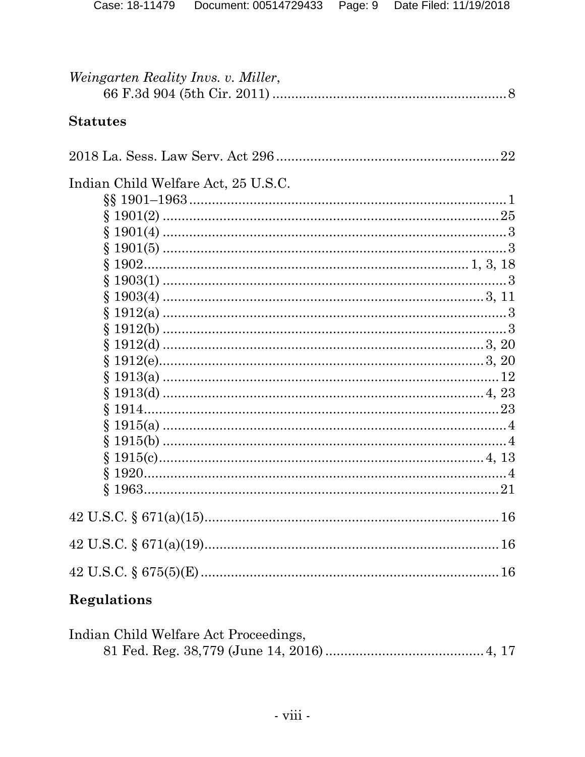| Weingarten Reality Invs. v. Miller, |  |
|-------------------------------------|--|
|                                     |  |

## **Statutes**

| Indian Child Welfare Act, 25 U.S.C. |  |
|-------------------------------------|--|
|                                     |  |
|                                     |  |
|                                     |  |
|                                     |  |
|                                     |  |
|                                     |  |
|                                     |  |
|                                     |  |
|                                     |  |
|                                     |  |
|                                     |  |
|                                     |  |
|                                     |  |
|                                     |  |
|                                     |  |
|                                     |  |
|                                     |  |
|                                     |  |
|                                     |  |
|                                     |  |
|                                     |  |
|                                     |  |

# **Regulations**

| Indian Child Welfare Act Proceedings, |  |
|---------------------------------------|--|
|                                       |  |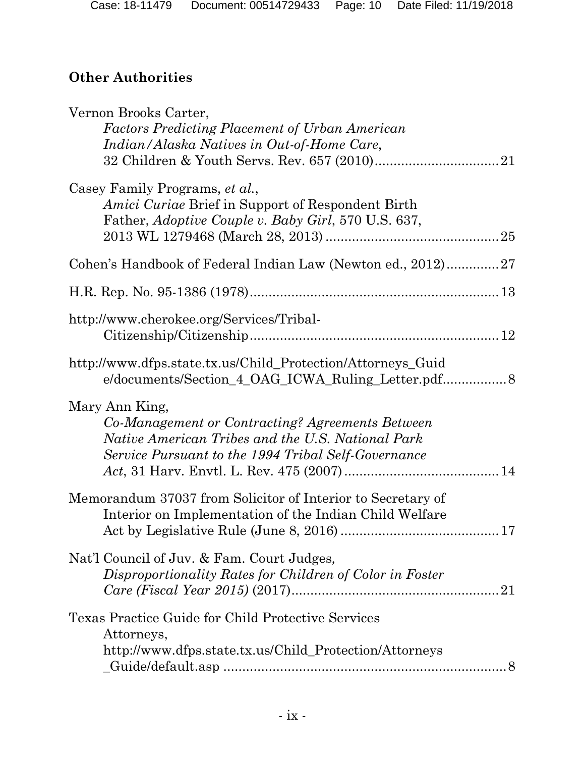# **Other Authorities**

| Vernon Brooks Carter,<br><b>Factors Predicting Placement of Urban American</b><br>Indian/Alaska Natives in Out-of-Home Care,                                                   |
|--------------------------------------------------------------------------------------------------------------------------------------------------------------------------------|
| Casey Family Programs, et al.,<br><i>Amici Curiae</i> Brief in Support of Respondent Birth<br>Father, Adoptive Couple v. Baby Girl, 570 U.S. 637,                              |
| Cohen's Handbook of Federal Indian Law (Newton ed., 2012)27                                                                                                                    |
|                                                                                                                                                                                |
| http://www.cherokee.org/Services/Tribal-                                                                                                                                       |
| http://www.dfps.state.tx.us/Child_Protection/Attorneys_Guid<br>e/documents/Section_4_OAG_ICWA_Ruling_Letter.pdf 8                                                              |
| Mary Ann King,<br>Co-Management or Contracting? Agreements Between<br>Native American Tribes and the U.S. National Park<br>Service Pursuant to the 1994 Tribal Self-Governance |
| Memorandum 37037 from Solicitor of Interior to Secretary of<br>Interior on Implementation of the Indian Child Welfare                                                          |
| Nat'l Council of Juv. & Fam. Court Judges,<br>Disproportionality Rates for Children of Color in Foster                                                                         |
| Texas Practice Guide for Child Protective Services<br>Attorneys,<br>http://www.dfps.state.tx.us/Child_Protection/Attorneys                                                     |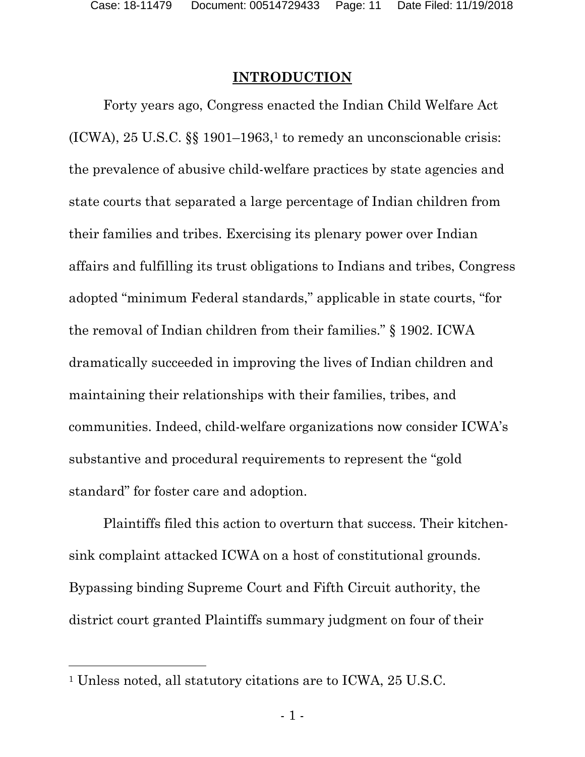### **INTRODUCTION**

<span id="page-10-0"></span>Forty years ago, Congress enacted the Indian Child Welfare Act (ICWA),  $25$  U.S.C.  $\S$  $\S$  [1](#page-10-1)901–1963,<sup>1</sup> to remedy an unconscionable crisis: the prevalence of abusive child-welfare practices by state agencies and state courts that separated a large percentage of Indian children from their families and tribes. Exercising its plenary power over Indian affairs and fulfilling its trust obligations to Indians and tribes, Congress adopted "minimum Federal standards," applicable in state courts, "for the removal of Indian children from their families." § 1902. ICWA dramatically succeeded in improving the lives of Indian children and maintaining their relationships with their families, tribes, and communities. Indeed, child-welfare organizations now consider ICWA's substantive and procedural requirements to represent the "gold standard" for foster care and adoption.

Plaintiffs filed this action to overturn that success. Their kitchensink complaint attacked ICWA on a host of constitutional grounds. Bypassing binding Supreme Court and Fifth Circuit authority, the district court granted Plaintiffs summary judgment on four of their

 $\overline{a}$ 

<span id="page-10-1"></span><sup>1</sup> Unless noted, all statutory citations are to ICWA, 25 U.S.C.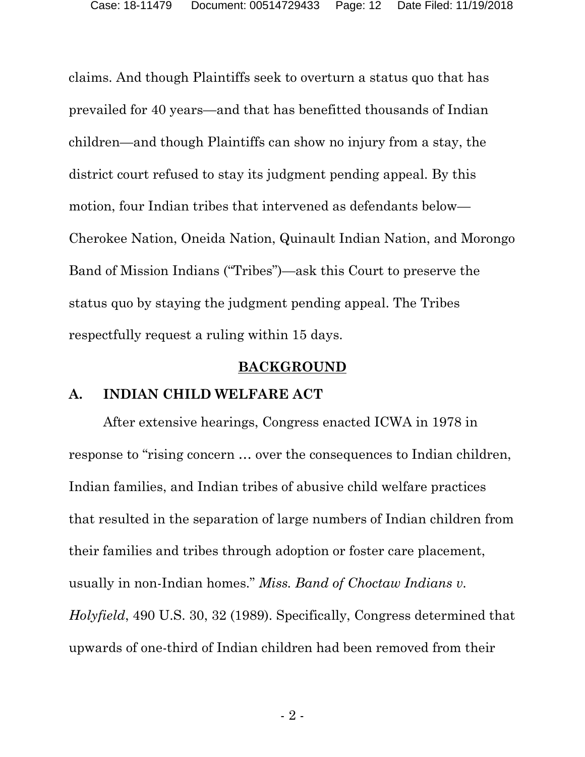claims. And though Plaintiffs seek to overturn a status quo that has prevailed for 40 years—and that has benefitted thousands of Indian children—and though Plaintiffs can show no injury from a stay, the district court refused to stay its judgment pending appeal. By this motion, four Indian tribes that intervened as defendants below— Cherokee Nation, Oneida Nation, Quinault Indian Nation, and Morongo Band of Mission Indians ("Tribes")—ask this Court to preserve the status quo by staying the judgment pending appeal. The Tribes respectfully request a ruling within 15 days.

#### **BACKGROUND**

#### <span id="page-11-1"></span><span id="page-11-0"></span>**A. INDIAN CHILD WELFARE ACT**

After extensive hearings, Congress enacted ICWA in 1978 in response to "rising concern … over the consequences to Indian children, Indian families, and Indian tribes of abusive child welfare practices that resulted in the separation of large numbers of Indian children from their families and tribes through adoption or foster care placement, usually in non-Indian homes." *Miss. Band of Choctaw Indians v. Holyfield*, 490 U.S. 30, 32 (1989). Specifically, Congress determined that upwards of one-third of Indian children had been removed from their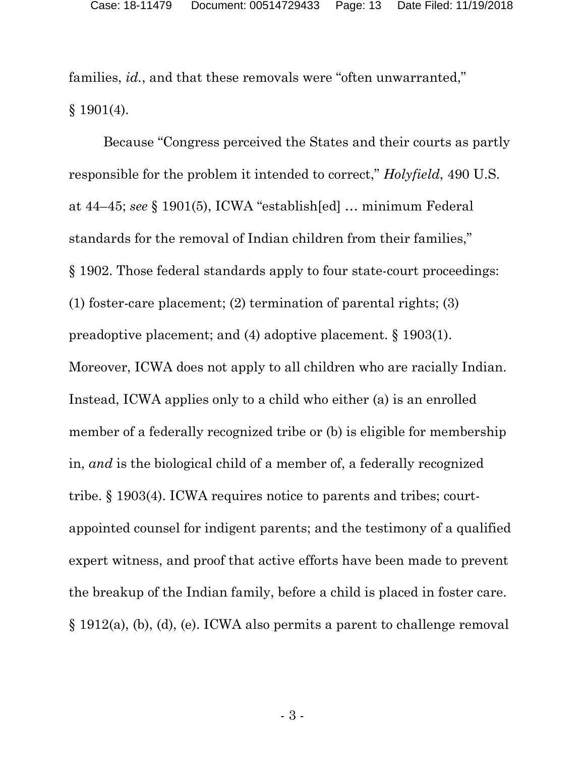families, *id.*, and that these removals were "often unwarranted,"  $§$  1901(4).

Because "Congress perceived the States and their courts as partly responsible for the problem it intended to correct," *Holyfield*, 490 U.S. at 44–45; *see* § 1901(5), ICWA "establish[ed] … minimum Federal standards for the removal of Indian children from their families," § 1902. Those federal standards apply to four state-court proceedings: (1) foster-care placement; (2) termination of parental rights; (3) preadoptive placement; and (4) adoptive placement. § 1903(1). Moreover, ICWA does not apply to all children who are racially Indian. Instead, ICWA applies only to a child who either (a) is an enrolled member of a federally recognized tribe or (b) is eligible for membership in, *and* is the biological child of a member of, a federally recognized tribe. § 1903(4). ICWA requires notice to parents and tribes; courtappointed counsel for indigent parents; and the testimony of a qualified expert witness, and proof that active efforts have been made to prevent the breakup of the Indian family, before a child is placed in foster care. § 1912(a), (b), (d), (e). ICWA also permits a parent to challenge removal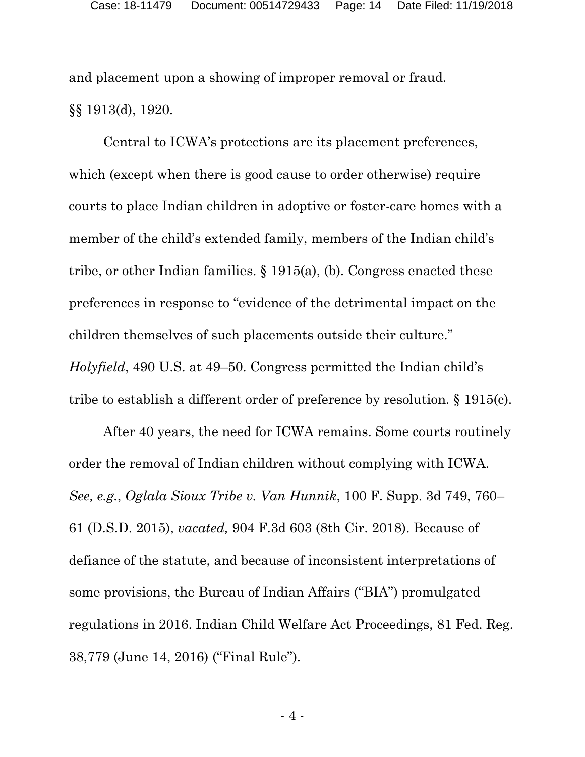and placement upon a showing of improper removal or fraud. §§ 1913(d), 1920.

Central to ICWA's protections are its placement preferences, which (except when there is good cause to order otherwise) require courts to place Indian children in adoptive or foster-care homes with a member of the child's extended family, members of the Indian child's tribe, or other Indian families. § 1915(a), (b). Congress enacted these preferences in response to "evidence of the detrimental impact on the children themselves of such placements outside their culture." *Holyfield*, 490 U.S. at 49–50. Congress permitted the Indian child's tribe to establish a different order of preference by resolution. § 1915(c).

After 40 years, the need for ICWA remains. Some courts routinely order the removal of Indian children without complying with ICWA. *See, e.g.*, *Oglala Sioux Tribe v. Van Hunnik*, 100 F. Supp. 3d 749, 760– 61 (D.S.D. 2015), *vacated,* 904 F.3d 603 (8th Cir. 2018). Because of defiance of the statute, and because of inconsistent interpretations of some provisions, the Bureau of Indian Affairs ("BIA") promulgated regulations in 2016. Indian Child Welfare Act Proceedings, 81 Fed. Reg. 38,779 (June 14, 2016) ("Final Rule").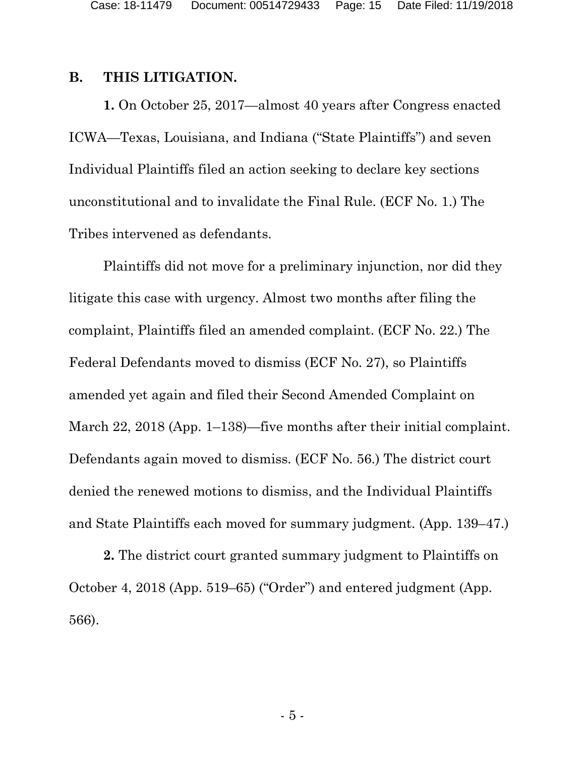Case: 18-11479 Document: 00514729433 Page: 15 Date Filed: 11/19/2018

#### <span id="page-14-0"></span>**B. THIS LITIGATION.**

**1.** On October 25, 2017—almost 40 years after Congress enacted ICWA—Texas, Louisiana, and Indiana ("State Plaintiffs") and seven Individual Plaintiffs filed an action seeking to declare key sections unconstitutional and to invalidate the Final Rule. (ECF No. 1.) The Tribes intervened as defendants.

Plaintiffs did not move for a preliminary injunction, nor did they litigate this case with urgency. Almost two months after filing the complaint, Plaintiffs filed an amended complaint. (ECF No. 22.) The Federal Defendants moved to dismiss (ECF No. 27), so Plaintiffs amended yet again and filed their Second Amended Complaint on March 22, 2018 (App. 1–138)—five months after their initial complaint. Defendants again moved to dismiss. (ECF No. 56.) The district court denied the renewed motions to dismiss, and the Individual Plaintiffs and State Plaintiffs each moved for summary judgment. (App. 139–47.)

**2.** The district court granted summary judgment to Plaintiffs on October 4, 2018 (App. 519–65) ("Order") and entered judgment (App. 566).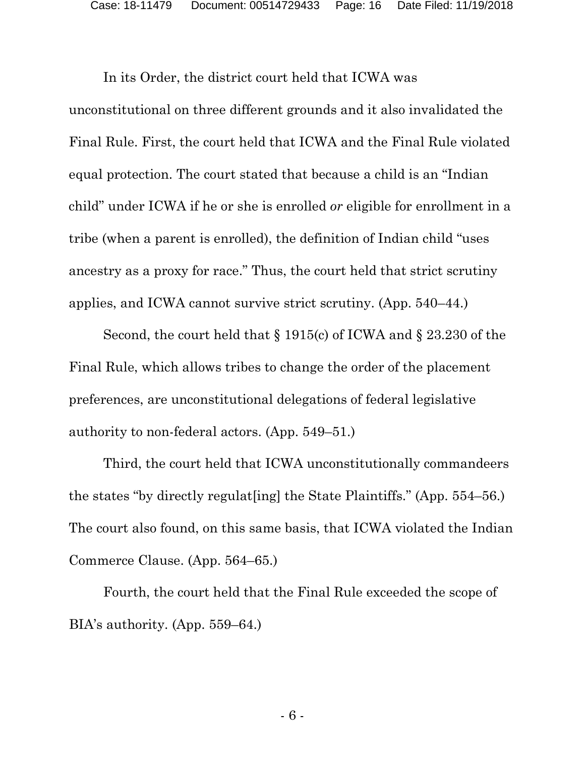In its Order, the district court held that ICWA was unconstitutional on three different grounds and it also invalidated the Final Rule. First, the court held that ICWA and the Final Rule violated equal protection. The court stated that because a child is an "Indian child" under ICWA if he or she is enrolled *or* eligible for enrollment in a tribe (when a parent is enrolled), the definition of Indian child "uses ancestry as a proxy for race." Thus, the court held that strict scrutiny applies, and ICWA cannot survive strict scrutiny. (App. 540–44.)

Second, the court held that § 1915(c) of ICWA and § 23.230 of the Final Rule, which allows tribes to change the order of the placement preferences, are unconstitutional delegations of federal legislative authority to non-federal actors. (App. 549–51.)

Third, the court held that ICWA unconstitutionally commandeers the states "by directly regulat[ing] the State Plaintiffs." (App. 554–56.) The court also found, on this same basis, that ICWA violated the Indian Commerce Clause. (App. 564–65.)

Fourth, the court held that the Final Rule exceeded the scope of BIA's authority. (App. 559–64.)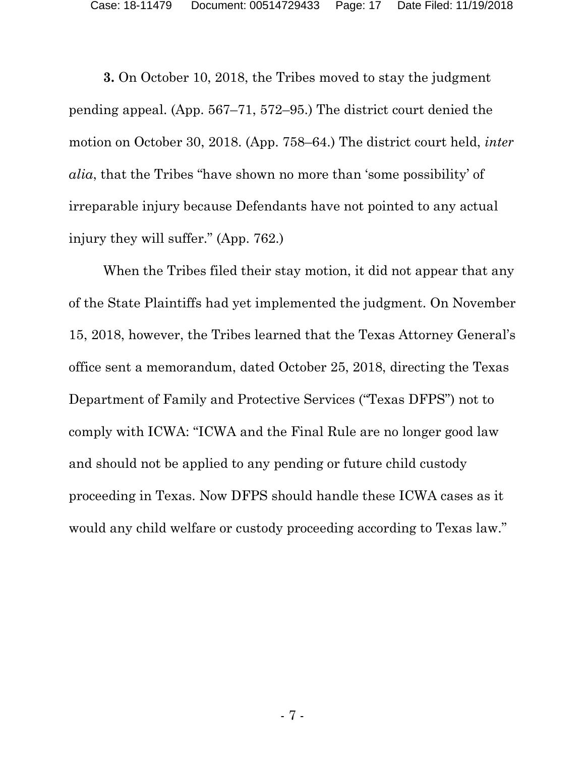Case: 18-11479 Document: 00514729433 Page: 17 Date Filed: 11/19/2018

**3.** On October 10, 2018, the Tribes moved to stay the judgment pending appeal. (App. 567–71, 572–95.) The district court denied the motion on October 30, 2018. (App. 758–64.) The district court held, *inter alia*, that the Tribes "have shown no more than 'some possibility' of irreparable injury because Defendants have not pointed to any actual injury they will suffer." (App. 762.)

When the Tribes filed their stay motion, it did not appear that any of the State Plaintiffs had yet implemented the judgment. On November 15, 2018, however, the Tribes learned that the Texas Attorney General's office sent a memorandum, dated October 25, 2018, directing the Texas Department of Family and Protective Services ("Texas DFPS") not to comply with ICWA: "ICWA and the Final Rule are no longer good law and should not be applied to any pending or future child custody proceeding in Texas. Now DFPS should handle these ICWA cases as it would any child welfare or custody proceeding according to Texas law."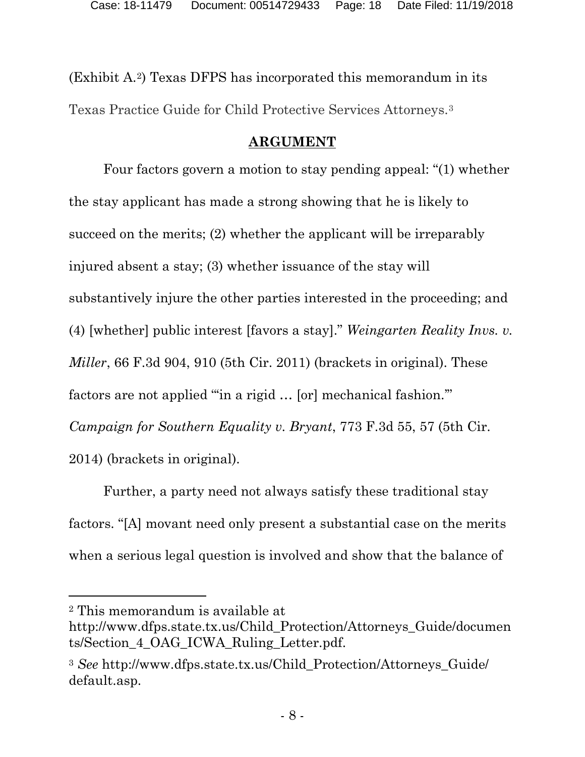(Exhibit A.[2](#page-17-1)) Texas DFPS has incorporated this memorandum in its Texas Practice Guide for Child Protective Services Attorneys.[3](#page-17-2)

## **ARGUMENT**

<span id="page-17-0"></span>Four factors govern a motion to stay pending appeal: "(1) whether the stay applicant has made a strong showing that he is likely to succeed on the merits; (2) whether the applicant will be irreparably injured absent a stay; (3) whether issuance of the stay will substantively injure the other parties interested in the proceeding; and (4) [whether] public interest [favors a stay]." *Weingarten Reality Invs. v. Miller*, 66 F.3d 904, 910 (5th Cir. 2011) (brackets in original). These factors are not applied "'in a rigid … [or] mechanical fashion.'" *Campaign for Southern Equality v. Bryant*, 773 F.3d 55, 57 (5th Cir. 2014) (brackets in original).

Further, a party need not always satisfy these traditional stay factors. "[A] movant need only present a substantial case on the merits when a serious legal question is involved and show that the balance of

l

<span id="page-17-1"></span><sup>2</sup> This memorandum is available at

http://www.dfps.state.tx.us/Child\_Protection/Attorneys\_Guide/documen ts/Section\_4\_OAG\_ICWA\_Ruling\_Letter.pdf.

<span id="page-17-2"></span><sup>3</sup> *See* http://www.dfps.state.tx.us/Child\_Protection/Attorneys\_Guide/ default.asp.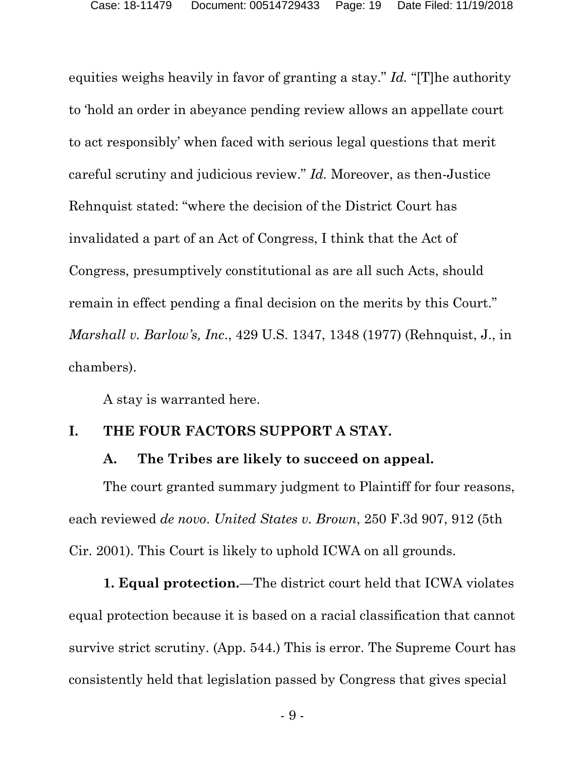equities weighs heavily in favor of granting a stay." *Id.* "[T]he authority to 'hold an order in abeyance pending review allows an appellate court to act responsibly' when faced with serious legal questions that merit careful scrutiny and judicious review." *Id.* Moreover, as then-Justice Rehnquist stated: "where the decision of the District Court has invalidated a part of an Act of Congress, I think that the Act of Congress, presumptively constitutional as are all such Acts, should remain in effect pending a final decision on the merits by this Court." *Marshall v. Barlow's, Inc*., 429 U.S. 1347, 1348 (1977) (Rehnquist, J., in chambers).

A stay is warranted here.

## <span id="page-18-1"></span><span id="page-18-0"></span>**I. THE FOUR FACTORS SUPPORT A STAY.**

## **A. The Tribes are likely to succeed on appeal.**

The court granted summary judgment to Plaintiff for four reasons, each reviewed *de novo*. *United States v. Brown*, 250 F.3d 907, 912 (5th Cir. 2001). This Court is likely to uphold ICWA on all grounds.

**1. Equal protection.**—The district court held that ICWA violates equal protection because it is based on a racial classification that cannot survive strict scrutiny. (App. 544.) This is error. The Supreme Court has consistently held that legislation passed by Congress that gives special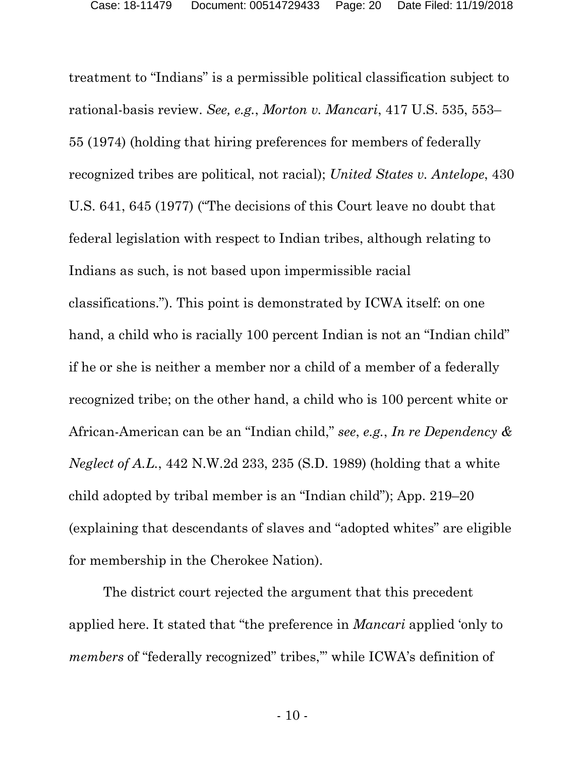treatment to "Indians" is a permissible political classification subject to rational-basis review. *See, e.g.*, *Morton v. Mancari*, 417 U.S. 535, 553– 55 (1974) (holding that hiring preferences for members of federally recognized tribes are political, not racial); *United States v. Antelope*, 430 U.S. 641, 645 (1977) ("The decisions of this Court leave no doubt that federal legislation with respect to Indian tribes, although relating to Indians as such, is not based upon impermissible racial classifications."). This point is demonstrated by ICWA itself: on one hand, a child who is racially 100 percent Indian is not an "Indian child" if he or she is neither a member nor a child of a member of a federally recognized tribe; on the other hand, a child who is 100 percent white or African-American can be an "Indian child," *see*, *e.g.*, *In re Dependency & Neglect of A.L.*, 442 N.W.2d 233, 235 (S.D. 1989) (holding that a white child adopted by tribal member is an "Indian child"); App. 219–20 (explaining that descendants of slaves and "adopted whites" are eligible for membership in the Cherokee Nation).

The district court rejected the argument that this precedent applied here. It stated that "the preference in *Mancari* applied 'only to *members* of "federally recognized" tribes," while ICWA's definition of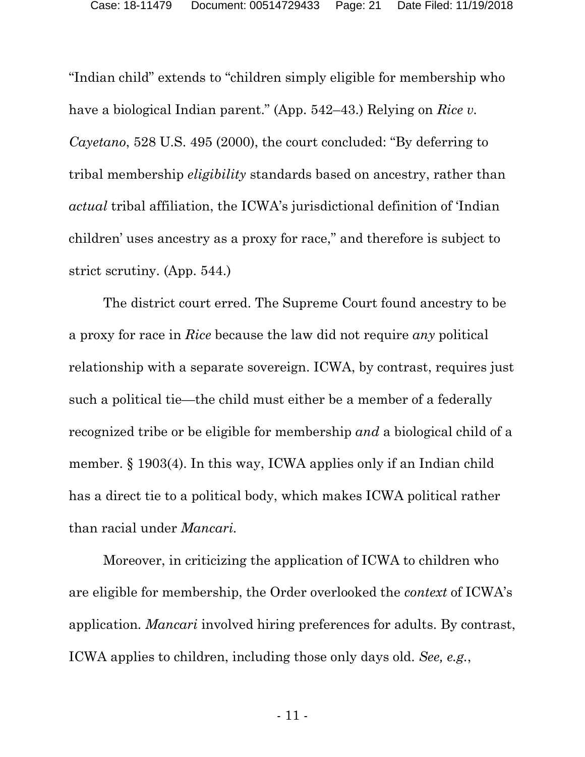"Indian child" extends to "children simply eligible for membership who have a biological Indian parent." (App. 542–43.) Relying on *Rice v. Cayetano*, 528 U.S. 495 (2000), the court concluded: "By deferring to tribal membership *eligibility* standards based on ancestry, rather than *actual* tribal affiliation, the ICWA's jurisdictional definition of 'Indian children' uses ancestry as a proxy for race," and therefore is subject to strict scrutiny. (App. 544.)

The district court erred. The Supreme Court found ancestry to be a proxy for race in *Rice* because the law did not require *any* political relationship with a separate sovereign. ICWA, by contrast, requires just such a political tie—the child must either be a member of a federally recognized tribe or be eligible for membership *and* a biological child of a member. § 1903(4). In this way, ICWA applies only if an Indian child has a direct tie to a political body, which makes ICWA political rather than racial under *Mancari.* 

Moreover, in criticizing the application of ICWA to children who are eligible for membership, the Order overlooked the *context* of ICWA's application. *Mancari* involved hiring preferences for adults. By contrast, ICWA applies to children, including those only days old. *See, e.g.*,

- 11 -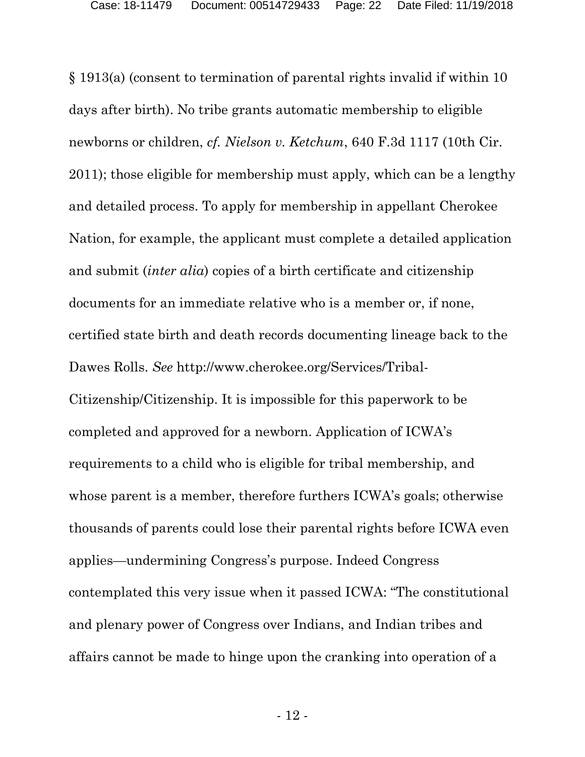§ 1913(a) (consent to termination of parental rights invalid if within 10 days after birth). No tribe grants automatic membership to eligible newborns or children, *cf. Nielson v. Ketchum*, 640 F.3d 1117 (10th Cir. 2011); those eligible for membership must apply, which can be a lengthy and detailed process. To apply for membership in appellant Cherokee Nation, for example, the applicant must complete a detailed application and submit (*inter alia*) copies of a birth certificate and citizenship documents for an immediate relative who is a member or, if none, certified state birth and death records documenting lineage back to the Dawes Rolls. *See* http://www.cherokee.org/Services/Tribal-Citizenship/Citizenship. It is impossible for this paperwork to be completed and approved for a newborn. Application of ICWA's requirements to a child who is eligible for tribal membership, and whose parent is a member, therefore furthers ICWA's goals; otherwise thousands of parents could lose their parental rights before ICWA even applies—undermining Congress's purpose. Indeed Congress contemplated this very issue when it passed ICWA: "The constitutional and plenary power of Congress over Indians, and Indian tribes and affairs cannot be made to hinge upon the cranking into operation of a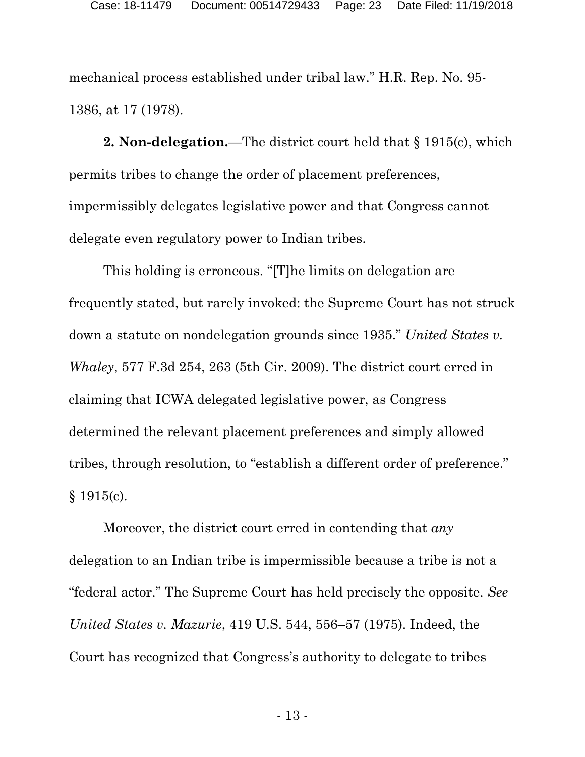mechanical process established under tribal law." H.R. Rep. No. 95- 1386, at 17 (1978).

**2. Non-delegation.**—The district court held that § 1915(c), which permits tribes to change the order of placement preferences, impermissibly delegates legislative power and that Congress cannot delegate even regulatory power to Indian tribes.

This holding is erroneous. "[T]he limits on delegation are frequently stated, but rarely invoked: the Supreme Court has not struck down a statute on nondelegation grounds since 1935." *United States v. Whaley*, 577 F.3d 254, 263 (5th Cir. 2009). The district court erred in claiming that ICWA delegated legislative power, as Congress determined the relevant placement preferences and simply allowed tribes, through resolution, to "establish a different order of preference." § 1915(c).

Moreover, the district court erred in contending that *any*  delegation to an Indian tribe is impermissible because a tribe is not a "federal actor." The Supreme Court has held precisely the opposite. *See United States v. Mazurie*, 419 U.S. 544, 556–57 (1975). Indeed, the Court has recognized that Congress's authority to delegate to tribes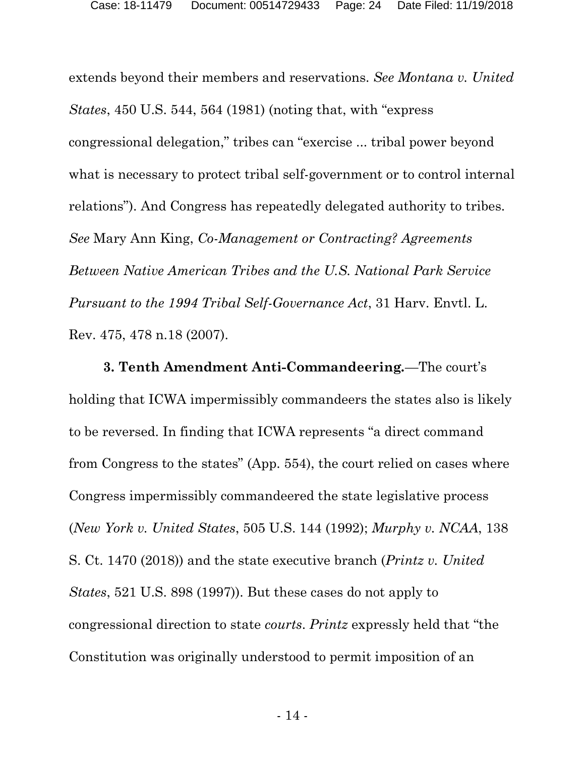extends beyond their members and reservations. *See Montana v. United States*, 450 U.S. 544, 564 (1981) (noting that, with "express congressional delegation," tribes can "exercise ... tribal power beyond what is necessary to protect tribal self-government or to control internal relations"). And Congress has repeatedly delegated authority to tribes. *See* Mary Ann King, *Co-Management or Contracting? Agreements Between Native American Tribes and the U.S. National Park Service Pursuant to the 1994 Tribal Self-Governance Act*, 31 Harv. Envtl. L. Rev. 475, 478 n.18 (2007).

**3. Tenth Amendment Anti-Commandeering***.*—The court's holding that ICWA impermissibly commandeers the states also is likely to be reversed. In finding that ICWA represents "a direct command from Congress to the states" (App. 554), the court relied on cases where Congress impermissibly commandeered the state legislative process (*New York v. United States*, 505 U.S. 144 (1992); *Murphy v. NCAA*, 138 S. Ct. 1470 (2018)) and the state executive branch (*Printz v. United States*, 521 U.S. 898 (1997)). But these cases do not apply to congressional direction to state *courts*. *Printz* expressly held that "the Constitution was originally understood to permit imposition of an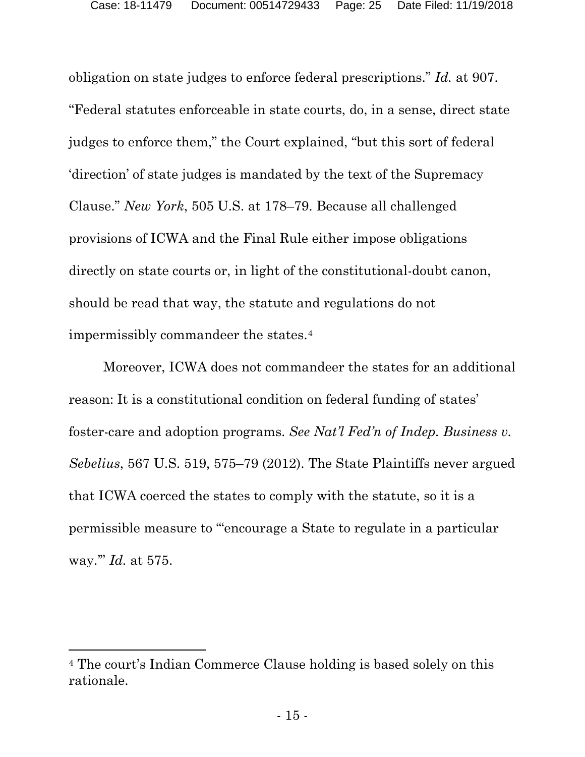obligation on state judges to enforce federal prescriptions." *Id.* at 907. "Federal statutes enforceable in state courts, do, in a sense, direct state judges to enforce them," the Court explained, "but this sort of federal 'direction' of state judges is mandated by the text of the Supremacy Clause." *New York*, 505 U.S. at 178–79. Because all challenged provisions of ICWA and the Final Rule either impose obligations directly on state courts or, in light of the constitutional-doubt canon, should be read that way, the statute and regulations do not impermissibly commandeer the states.[4](#page-24-0)

Moreover, ICWA does not commandeer the states for an additional reason: It is a constitutional condition on federal funding of states' foster-care and adoption programs. *See Nat'l Fed'n of Indep. Business v. Sebelius*, 567 U.S. 519, 575–79 (2012). The State Plaintiffs never argued that ICWA coerced the states to comply with the statute, so it is a permissible measure to "'encourage a State to regulate in a particular way.'" *Id.* at 575.

 $\overline{a}$ 

<span id="page-24-0"></span><sup>4</sup> The court's Indian Commerce Clause holding is based solely on this rationale.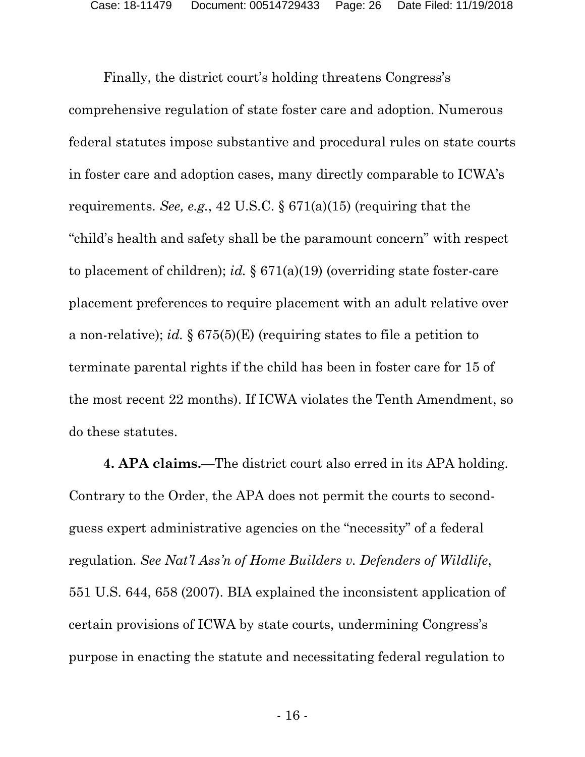Finally, the district court's holding threatens Congress's comprehensive regulation of state foster care and adoption. Numerous federal statutes impose substantive and procedural rules on state courts in foster care and adoption cases, many directly comparable to ICWA's requirements. *See, e.g.*, 42 U.S.C. § 671(a)(15) (requiring that the "child's health and safety shall be the paramount concern" with respect to placement of children); *id.* § 671(a)(19) (overriding state foster-care placement preferences to require placement with an adult relative over a non-relative); *id.* § 675(5)(E) (requiring states to file a petition to terminate parental rights if the child has been in foster care for 15 of the most recent 22 months). If ICWA violates the Tenth Amendment, so do these statutes.

**4. APA claims.**—The district court also erred in its APA holding. Contrary to the Order, the APA does not permit the courts to secondguess expert administrative agencies on the "necessity" of a federal regulation. *See Nat'l Ass'n of Home Builders v. Defenders of Wildlife*, 551 U.S. 644, 658 (2007). BIA explained the inconsistent application of certain provisions of ICWA by state courts, undermining Congress's purpose in enacting the statute and necessitating federal regulation to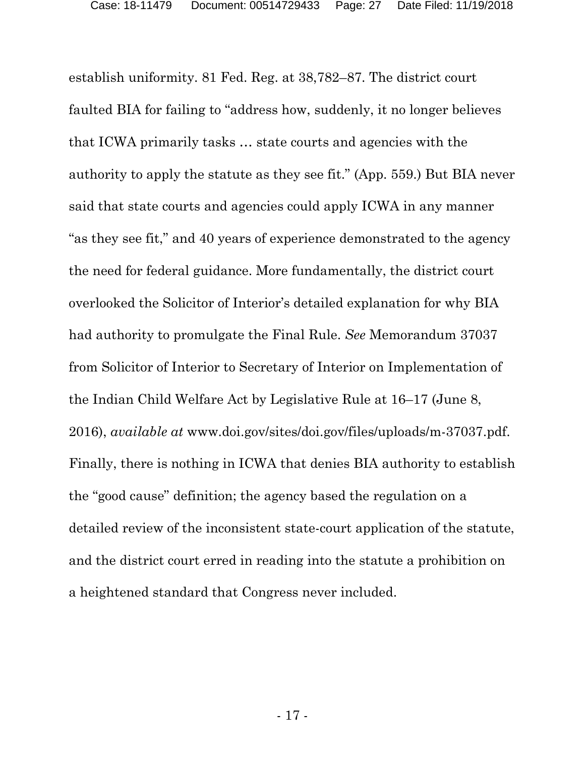establish uniformity. 81 Fed. Reg. at 38,782–87. The district court faulted BIA for failing to "address how, suddenly, it no longer believes that ICWA primarily tasks … state courts and agencies with the authority to apply the statute as they see fit." (App. 559.) But BIA never said that state courts and agencies could apply ICWA in any manner "as they see fit," and 40 years of experience demonstrated to the agency the need for federal guidance. More fundamentally, the district court overlooked the Solicitor of Interior's detailed explanation for why BIA had authority to promulgate the Final Rule. *See* Memorandum 37037 from Solicitor of Interior to Secretary of Interior on Implementation of the Indian Child Welfare Act by Legislative Rule at 16–17 (June 8, 2016), *available at* www.doi.gov/sites/doi.gov/files/uploads/m-37037.pdf. Finally, there is nothing in ICWA that denies BIA authority to establish the "good cause" definition; the agency based the regulation on a detailed review of the inconsistent state-court application of the statute, and the district court erred in reading into the statute a prohibition on a heightened standard that Congress never included.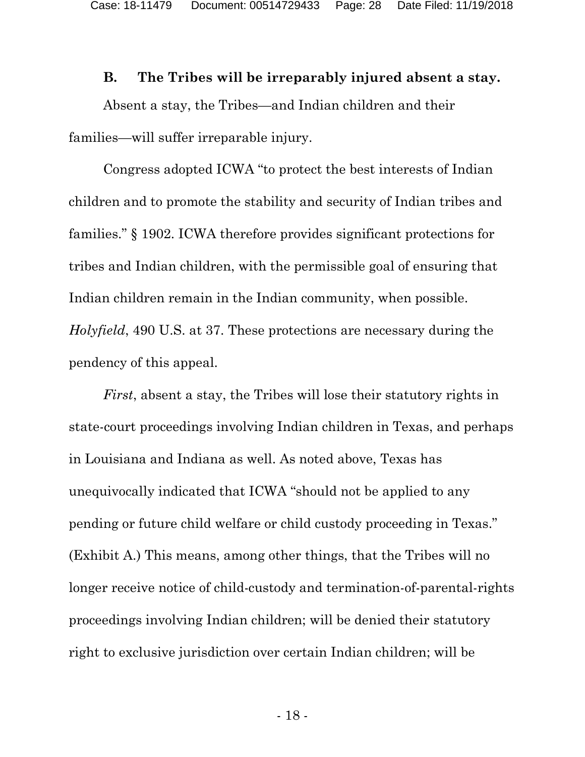#### **B. The Tribes will be irreparably injured absent a stay.**

<span id="page-27-0"></span>Absent a stay, the Tribes—and Indian children and their families—will suffer irreparable injury.

Congress adopted ICWA "to protect the best interests of Indian children and to promote the stability and security of Indian tribes and families." § 1902. ICWA therefore provides significant protections for tribes and Indian children, with the permissible goal of ensuring that Indian children remain in the Indian community, when possible. *Holyfield*, 490 U.S. at 37. These protections are necessary during the pendency of this appeal.

*First*, absent a stay, the Tribes will lose their statutory rights in state-court proceedings involving Indian children in Texas, and perhaps in Louisiana and Indiana as well. As noted above, Texas has unequivocally indicated that ICWA "should not be applied to any pending or future child welfare or child custody proceeding in Texas." (Exhibit A.) This means, among other things, that the Tribes will no longer receive notice of child-custody and termination-of-parental-rights proceedings involving Indian children; will be denied their statutory right to exclusive jurisdiction over certain Indian children; will be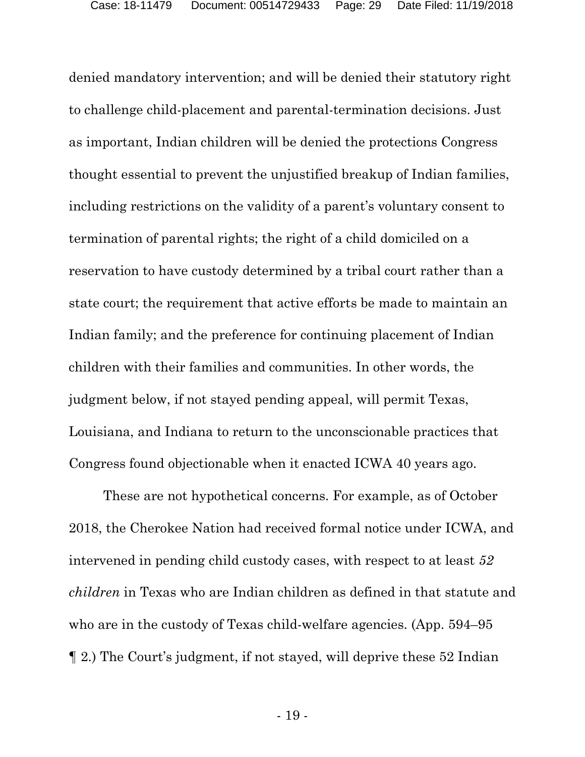denied mandatory intervention; and will be denied their statutory right to challenge child-placement and parental-termination decisions. Just as important, Indian children will be denied the protections Congress thought essential to prevent the unjustified breakup of Indian families, including restrictions on the validity of a parent's voluntary consent to termination of parental rights; the right of a child domiciled on a reservation to have custody determined by a tribal court rather than a state court; the requirement that active efforts be made to maintain an Indian family; and the preference for continuing placement of Indian children with their families and communities. In other words, the judgment below, if not stayed pending appeal, will permit Texas, Louisiana, and Indiana to return to the unconscionable practices that Congress found objectionable when it enacted ICWA 40 years ago.

These are not hypothetical concerns. For example, as of October 2018, the Cherokee Nation had received formal notice under ICWA, and intervened in pending child custody cases, with respect to at least *52 children* in Texas who are Indian children as defined in that statute and who are in the custody of Texas child-welfare agencies. (App. 594–95) ¶ 2.) The Court's judgment, if not stayed, will deprive these 52 Indian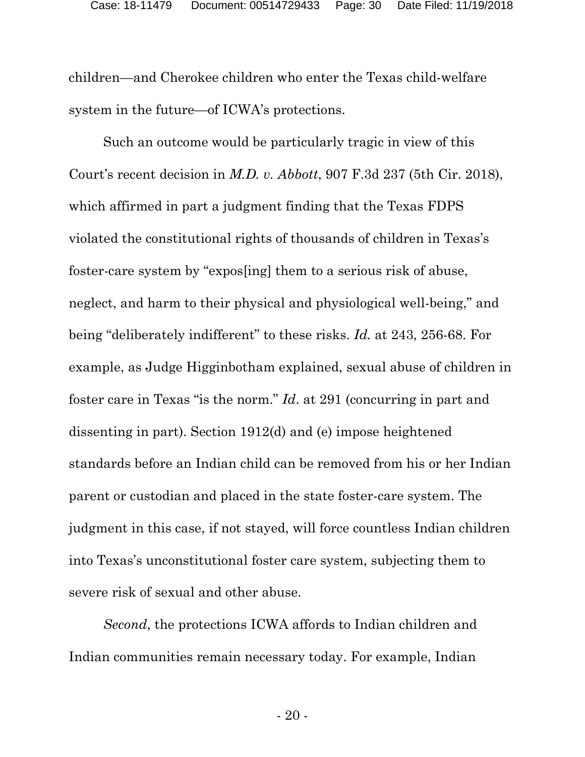children—and Cherokee children who enter the Texas child-welfare system in the future—of ICWA's protections.

Such an outcome would be particularly tragic in view of this Court's recent decision in *M.D. v. Abbott*, 907 F.3d 237 (5th Cir. 2018), which affirmed in part a judgment finding that the Texas FDPS violated the constitutional rights of thousands of children in Texas's foster-care system by "expos[ing] them to a serious risk of abuse, neglect, and harm to their physical and physiological well-being," and being "deliberately indifferent" to these risks. *Id.* at 243, 256-68. For example, as Judge Higginbotham explained, sexual abuse of children in foster care in Texas "is the norm." *Id*. at 291 (concurring in part and dissenting in part). Section 1912(d) and (e) impose heightened standards before an Indian child can be removed from his or her Indian parent or custodian and placed in the state foster-care system. The judgment in this case, if not stayed, will force countless Indian children into Texas's unconstitutional foster care system, subjecting them to severe risk of sexual and other abuse.

*Second*, the protections ICWA affords to Indian children and Indian communities remain necessary today. For example, Indian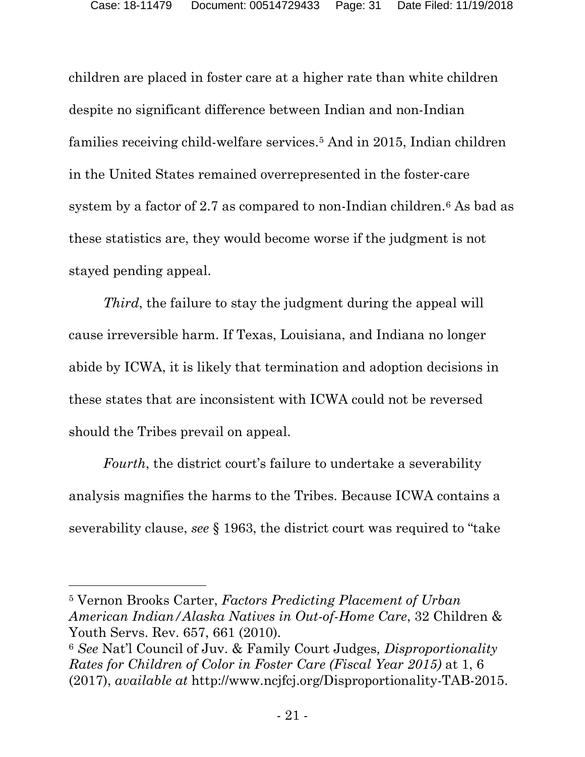children are placed in foster care at a higher rate than white children despite no significant difference between Indian and non-Indian families receiving child-welfare services.[5](#page-30-0) And in 2015, Indian children in the United States remained overrepresented in the foster-care system by a factor of 2.7 as compared to non-Indian children.<sup>[6](#page-30-1)</sup> As bad as these statistics are, they would become worse if the judgment is not stayed pending appeal.

*Third*, the failure to stay the judgment during the appeal will cause irreversible harm. If Texas, Louisiana, and Indiana no longer abide by ICWA, it is likely that termination and adoption decisions in these states that are inconsistent with ICWA could not be reversed should the Tribes prevail on appeal.

*Fourth*, the district court's failure to undertake a severability analysis magnifies the harms to the Tribes. Because ICWA contains a severability clause, *see* § 1963, the district court was required to "take

<span id="page-30-0"></span><sup>5</sup> Vernon Brooks Carter, *Factors Predicting Placement of Urban American Indian/Alaska Natives in Out-of-Home Care*, 32 Children & Youth Servs. Rev. 657, 661 (2010). 6 *See* Nat'l Council of Juv. & Family Court Judges*, Disproportionality* 

 $\overline{a}$ 

<span id="page-30-1"></span>*Rates for Children of Color in Foster Care (Fiscal Year 2015)* at 1, 6 (2017), *available at* http://www.ncjfcj.org/Disproportionality-TAB-2015.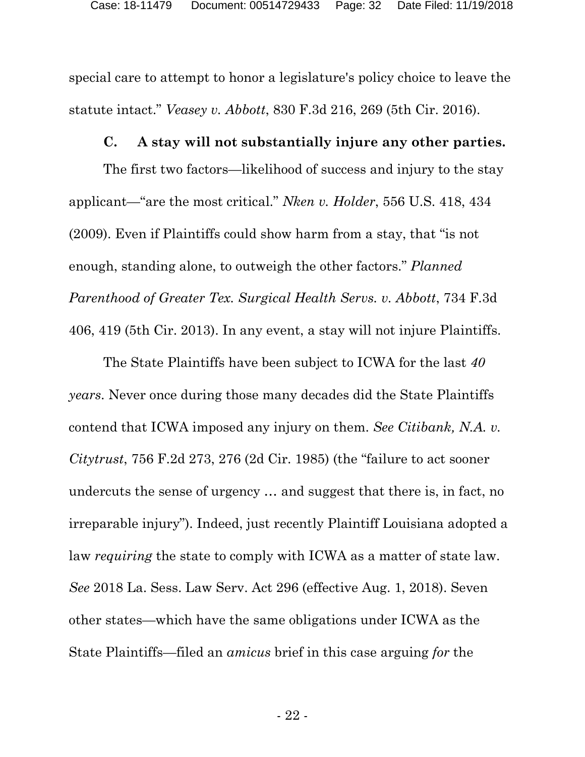special care to attempt to honor a legislature's policy choice to leave the statute intact." *Veasey v. Abbott*, 830 F.3d 216, 269 (5th Cir. 2016).

#### **C. A stay will not substantially injure any other parties.**

<span id="page-31-0"></span>The first two factors—likelihood of success and injury to the stay applicant—"are the most critical." *Nken v. Holder*, 556 U.S. 418, 434 (2009). Even if Plaintiffs could show harm from a stay, that "is not enough, standing alone, to outweigh the other factors." *Planned Parenthood of Greater Tex. Surgical Health Servs. v. Abbott*, 734 F.3d 406, 419 (5th Cir. 2013). In any event, a stay will not injure Plaintiffs.

The State Plaintiffs have been subject to ICWA for the last *40 years*. Never once during those many decades did the State Plaintiffs contend that ICWA imposed any injury on them. *See Citibank, N.A. v. Citytrust*, 756 F.2d 273, 276 (2d Cir. 1985) (the "failure to act sooner undercuts the sense of urgency … and suggest that there is, in fact, no irreparable injury"). Indeed, just recently Plaintiff Louisiana adopted a law *requiring* the state to comply with ICWA as a matter of state law. *See* 2018 La. Sess. Law Serv. Act 296 (effective Aug. 1, 2018). Seven other states—which have the same obligations under ICWA as the State Plaintiffs—filed an *amicus* brief in this case arguing *for* the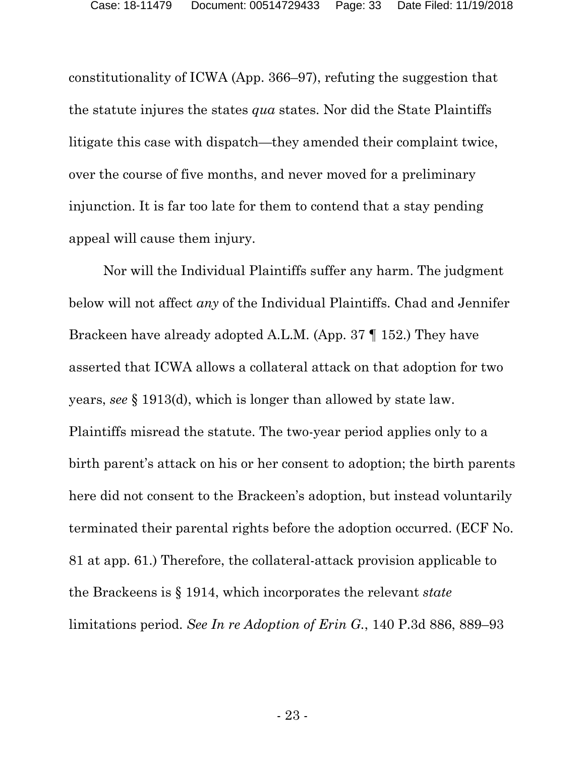constitutionality of ICWA (App. 366–97), refuting the suggestion that the statute injures the states *qua* states. Nor did the State Plaintiffs litigate this case with dispatch—they amended their complaint twice, over the course of five months, and never moved for a preliminary injunction. It is far too late for them to contend that a stay pending appeal will cause them injury.

Nor will the Individual Plaintiffs suffer any harm. The judgment below will not affect *any* of the Individual Plaintiffs. Chad and Jennifer Brackeen have already adopted A.L.M. (App. 37 ¶ 152.) They have asserted that ICWA allows a collateral attack on that adoption for two years, *see* § 1913(d), which is longer than allowed by state law. Plaintiffs misread the statute. The two-year period applies only to a birth parent's attack on his or her consent to adoption; the birth parents here did not consent to the Brackeen's adoption, but instead voluntarily terminated their parental rights before the adoption occurred. (ECF No. 81 at app. 61.) Therefore, the collateral-attack provision applicable to the Brackeens is § 1914, which incorporates the relevant *state*  limitations period. *See In re Adoption of Erin G.*, 140 P.3d 886, 889–93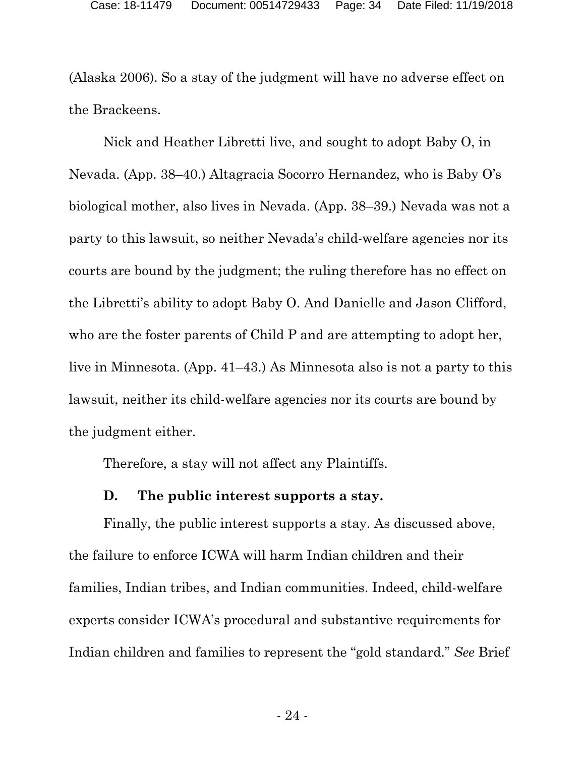(Alaska 2006). So a stay of the judgment will have no adverse effect on the Brackeens.

Nick and Heather Libretti live, and sought to adopt Baby O, in Nevada. (App. 38–40.) Altagracia Socorro Hernandez, who is Baby O's biological mother, also lives in Nevada. (App. 38–39.) Nevada was not a party to this lawsuit, so neither Nevada's child-welfare agencies nor its courts are bound by the judgment; the ruling therefore has no effect on the Libretti's ability to adopt Baby O. And Danielle and Jason Clifford, who are the foster parents of Child P and are attempting to adopt her, live in Minnesota. (App. 41–43.) As Minnesota also is not a party to this lawsuit, neither its child-welfare agencies nor its courts are bound by the judgment either.

Therefore, a stay will not affect any Plaintiffs.

## **D. The public interest supports a stay.**

<span id="page-33-0"></span>Finally, the public interest supports a stay. As discussed above, the failure to enforce ICWA will harm Indian children and their families, Indian tribes, and Indian communities. Indeed, child-welfare experts consider ICWA's procedural and substantive requirements for Indian children and families to represent the "gold standard." *See* Brief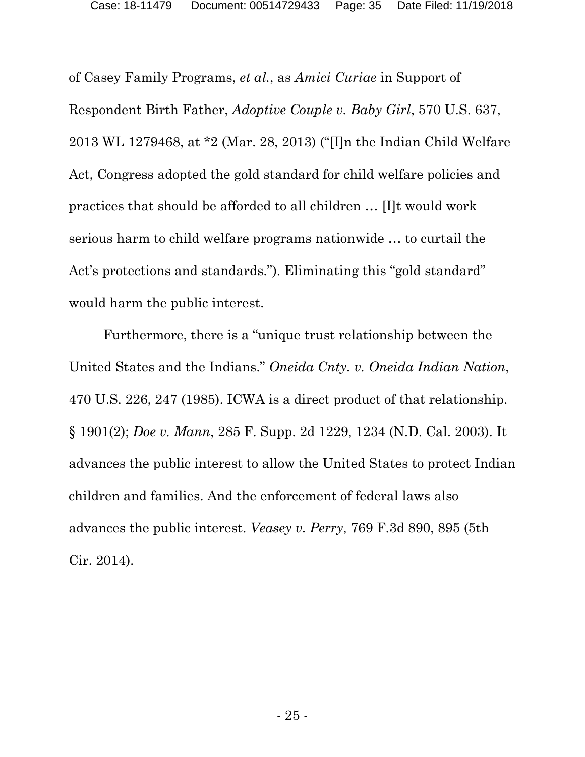of Casey Family Programs, *et al.*, as *Amici Curiae* in Support of Respondent Birth Father, *Adoptive Couple v. Baby Girl*, 570 U.S. 637, 2013 WL 1279468, at \*2 (Mar. 28, 2013) ("[I]n the Indian Child Welfare Act, Congress adopted the gold standard for child welfare policies and practices that should be afforded to all children … [I]t would work serious harm to child welfare programs nationwide … to curtail the Act's protections and standards."). Eliminating this "gold standard" would harm the public interest.

Furthermore, there is a "unique trust relationship between the United States and the Indians." *Oneida Cnty. v. Oneida Indian Nation*, 470 U.S. 226, 247 (1985). ICWA is a direct product of that relationship. § 1901(2); *Doe v. Mann*, 285 F. Supp. 2d 1229, 1234 (N.D. Cal. 2003). It advances the public interest to allow the United States to protect Indian children and families. And the enforcement of federal laws also advances the public interest. *Veasey v. Perry*, 769 F.3d 890, 895 (5th Cir. 2014).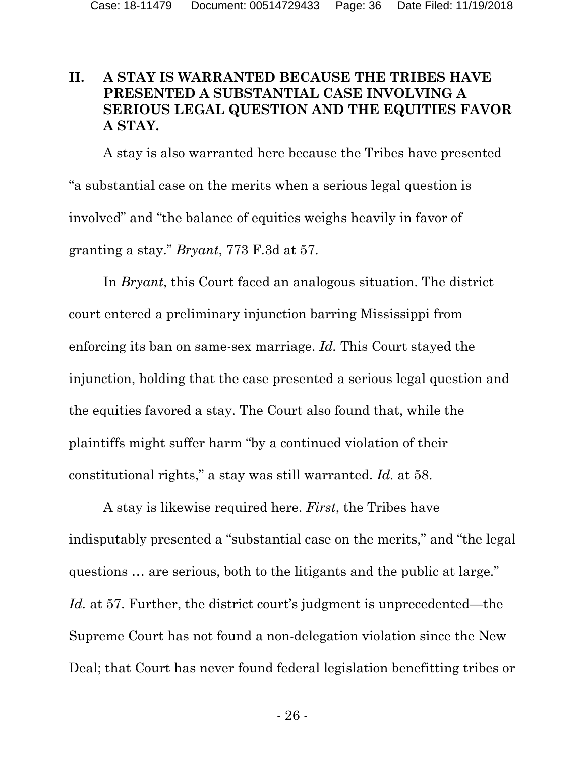## <span id="page-35-0"></span>**II. A STAY IS WARRANTED BECAUSE THE TRIBES HAVE PRESENTED A SUBSTANTIAL CASE INVOLVING A SERIOUS LEGAL QUESTION AND THE EQUITIES FAVOR A STAY.**

A stay is also warranted here because the Tribes have presented "a substantial case on the merits when a serious legal question is involved" and "the balance of equities weighs heavily in favor of granting a stay." *Bryant*, 773 F.3d at 57.

In *Bryant*, this Court faced an analogous situation. The district court entered a preliminary injunction barring Mississippi from enforcing its ban on same-sex marriage. *Id.* This Court stayed the injunction, holding that the case presented a serious legal question and the equities favored a stay. The Court also found that, while the plaintiffs might suffer harm "by a continued violation of their constitutional rights," a stay was still warranted. *Id.* at 58.

A stay is likewise required here. *First*, the Tribes have indisputably presented a "substantial case on the merits," and "the legal questions … are serious, both to the litigants and the public at large." *Id.* at 57. Further, the district court's judgment is unprecedented—the Supreme Court has not found a non-delegation violation since the New Deal; that Court has never found federal legislation benefitting tribes or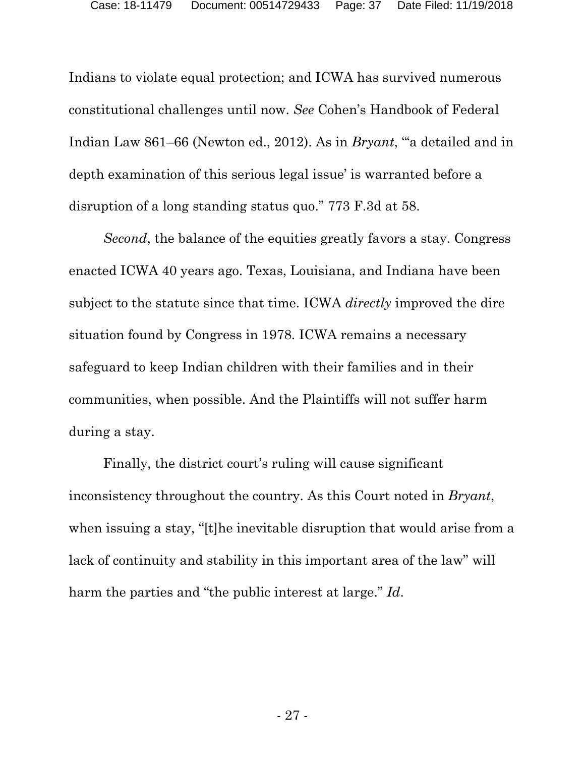Indians to violate equal protection; and ICWA has survived numerous constitutional challenges until now. *See* Cohen's Handbook of Federal Indian Law 861–66 (Newton ed., 2012). As in *Bryant*, "'a detailed and in depth examination of this serious legal issue' is warranted before a disruption of a long standing status quo." 773 F.3d at 58.

*Second*, the balance of the equities greatly favors a stay. Congress enacted ICWA 40 years ago. Texas, Louisiana, and Indiana have been subject to the statute since that time. ICWA *directly* improved the dire situation found by Congress in 1978. ICWA remains a necessary safeguard to keep Indian children with their families and in their communities, when possible. And the Plaintiffs will not suffer harm during a stay.

Finally, the district court's ruling will cause significant inconsistency throughout the country. As this Court noted in *Bryant*, when issuing a stay, "[t]he inevitable disruption that would arise from a lack of continuity and stability in this important area of the law" will harm the parties and "the public interest at large." *Id*.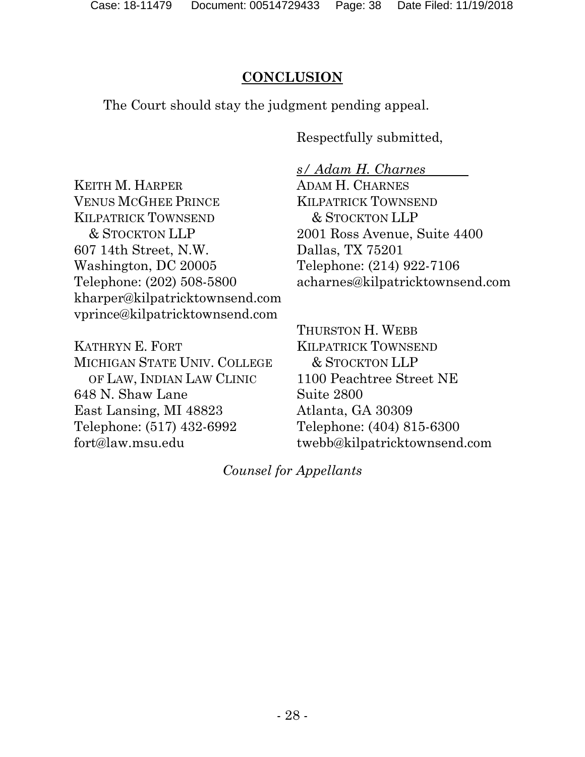## **CONCLUSION**

<span id="page-37-0"></span>The Court should stay the judgment pending appeal.

Respectfully submitted,

KEITH M. HARPER VENUS MCGHEE PRINCE KILPATRICK TOWNSEND & STOCKTON LLP 607 14th Street, N.W. Washington, DC 20005 Telephone: (202) 508-5800 kharper@kilpatricktownsend.com vprince@kilpatricktownsend.com

KATHRYN E. FORT MICHIGAN STATE UNIV. COLLEGE OF LAW, INDIAN LAW CLINIC 648 N. Shaw Lane East Lansing, MI 48823 Telephone: (517) 432-6992 fort@law.msu.edu

*s/ Adam H. Charnes* ADAM H. CHARNES KILPATRICK TOWNSEND & STOCKTON LLP 2001 Ross Avenue, Suite 4400 Dallas, TX 75201 Telephone: (214) 922-7106 acharnes@kilpatricktownsend.com

THURSTON H. WEBB KILPATRICK TOWNSEND & STOCKTON LLP 1100 Peachtree Street NE Suite 2800 Atlanta, GA 30309 Telephone: (404) 815-6300 twebb@kilpatricktownsend.com

*Counsel for Appellants*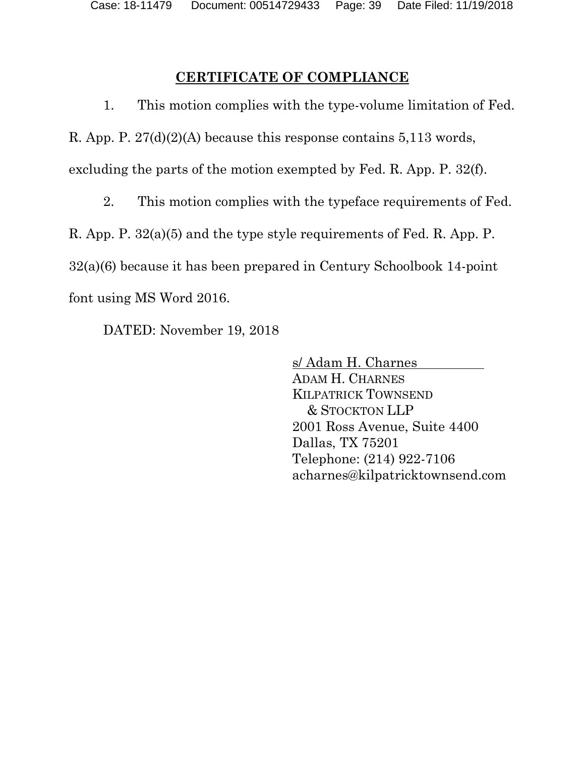## **CERTIFICATE OF COMPLIANCE**

<span id="page-38-0"></span>1. This motion complies with the type-volume limitation of Fed.

R. App. P. 27(d)(2)(A) because this response contains 5,113 words,

excluding the parts of the motion exempted by Fed. R. App. P. 32(f).

2. This motion complies with the typeface requirements of Fed.

R. App. P. 32(a)(5) and the type style requirements of Fed. R. App. P.

32(a)(6) because it has been prepared in Century Schoolbook 14-point

font using MS Word 2016.

DATED: November 19, 2018

s/ Adam H. Charnes ADAM H. CHARNES KILPATRICK TOWNSEND & STOCKTON LLP 2001 Ross Avenue, Suite 4400 Dallas, TX 75201 Telephone: (214) 922-7106 acharnes@kilpatricktownsend.com